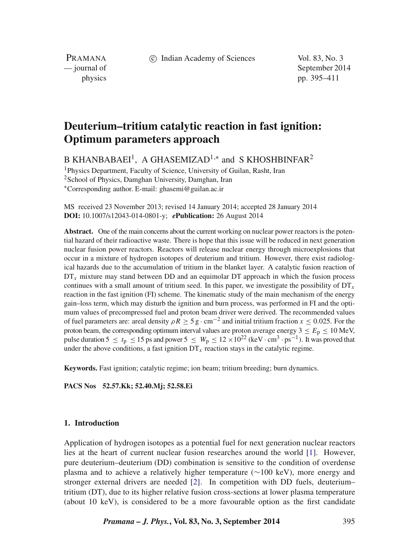c Indian Academy of Sciences Vol. 83, No. 3

PRAMANA<br>
— journal of

September 2014 physics pp. 395–411

# **Deuterium–tritium catalytic reaction in fast ignition: Optimum parameters approach**

B KHANBABAEI<sup>1</sup>, A GHASEMIZAD<sup>1,\*</sup> and S KHOSHBINFAR<sup>2</sup>

<sup>1</sup>Physics Department, Faculty of Science, University of Guilan, Rasht, Iran <sup>2</sup>School of Physics, Damghan University, Damghan, Iran ∗Corresponding author. E-mail: ghasemi@guilan.ac.ir

MS received 23 November 2013; revised 14 January 2014; accepted 28 January 2014 **DOI:** 10.1007/s12043-014-0801-y; *e***Publication:** 26 August 2014

**Abstract.** One of the main concerns about the current working on nuclear power reactors is the potential hazard of their radioactive waste. There is hope that this issue will be reduced in next generation nuclear fusion power reactors. Reactors will release nuclear energy through microexplosions that occur in a mixture of hydrogen isotopes of deuterium and tritium. However, there exist radiological hazards due to the accumulation of tritium in the blanket layer. A catalytic fusion reaction of  $DT<sub>x</sub>$  mixture may stand between DD and an equimolar DT approach in which the fusion process continues with a small amount of tritium seed. In this paper, we investigate the possibility of  $DT<sub>x</sub>$ reaction in the fast ignition (FI) scheme. The kinematic study of the main mechanism of the energy gain–loss term, which may disturb the ignition and burn process, was performed in FI and the optimum values of precompressed fuel and proton beam driver were derived. The recommended values of fuel parameters are: areal density  $\rho R \ge 5$  g · cm<sup>-2</sup> and initial tritium fraction  $x \le 0.025$ . For the proton beam, the corresponding optimum interval values are proton average energy  $3 \le E_p \le 10$  MeV, pulse duration 5  $\leq t_p \leq 15$  ps and power 5  $\leq W_p \leq 12 \times 10^{22}$  (keV · cm<sup>3</sup> · ps<sup>-1</sup>). It was proved that under the above conditions, a fast ignition  $DT_x$  reaction stays in the catalytic regime.

**Keywords.** Fast ignition; catalytic regime; ion beam; tritium breeding; burn dynamics.

**PACS Nos 52.57.Kk; 52.40.Mj; 52.58.Ei**

## **1. Introduction**

Application of hydrogen isotopes as a potential fuel for next generation nuclear reactors lies at the heart of current nuclear fusion researches around the world [\[1\]](#page-16-0). However, pure deuterium–deuterium (DD) combination is sensitive to the condition of overdense plasma and to achieve a relatively higher temperature (∼100 keV), more energy and stronger external drivers are needed [\[2\]](#page-16-1). In competition with DD fuels, deuterium– tritium (DT), due to its higher relative fusion cross-sections at lower plasma temperature (about 10 keV), is considered to be a more favourable option as the first candidate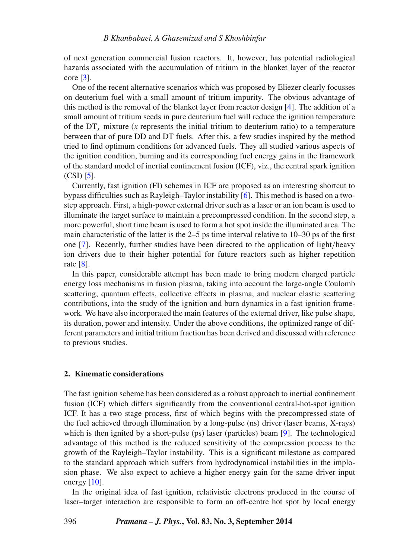of next generation commercial fusion reactors. It, however, has potential radiological hazards associated with the accumulation of tritium in the blanket layer of the reactor core [\[3\]](#page-16-2).

One of the recent alternative scenarios which was proposed by Eliezer clearly focusses on deuterium fuel with a small amount of tritium impurity. The obvious advantage of this method is the removal of the blanket layer from reactor design [\[4\]](#page-16-3). The addition of a small amount of tritium seeds in pure deuterium fuel will reduce the ignition temperature of the  $DT<sub>x</sub>$  mixture (*x* represents the initial tritium to deuterium ratio) to a temperature between that of pure DD and DT fuels. After this, a few studies inspired by the method tried to find optimum conditions for advanced fuels. They all studied various aspects of the ignition condition, burning and its corresponding fuel energy gains in the framework of the standard model of inertial confinement fusion (ICF), viz., the central spark ignition (CSI) [\[5\]](#page-16-4).

Currently, fast ignition (FI) schemes in ICF are proposed as an interesting shortcut to bypass difficulties such as Rayleigh–Taylor instability [\[6\]](#page-16-5). This method is based on a twostep approach. First, a high-power external driver such as a laser or an ion beam is used to illuminate the target surface to maintain a precompressed condition. In the second step, a more powerful, short time beam is used to form a hot spot inside the illuminated area. The main characteristic of the latter is the 2–5 ps time interval relative to 10–30 ps of the first one [\[7\]](#page-16-6). Recently, further studies have been directed to the application of light*/*heavy ion drivers due to their higher potential for future reactors such as higher repetition rate [\[8\]](#page-16-7).

In this paper, considerable attempt has been made to bring modern charged particle energy loss mechanisms in fusion plasma, taking into account the large-angle Coulomb scattering, quantum effects, collective effects in plasma, and nuclear elastic scattering contributions, into the study of the ignition and burn dynamics in a fast ignition framework. We have also incorporated the main features of the external driver, like pulse shape, its duration, power and intensity. Under the above conditions, the optimized range of different parameters and initial tritium fraction has been derived and discussed with reference to previous studies.

#### **2. Kinematic considerations**

The fast ignition scheme has been considered as a robust approach to inertial confinement fusion (ICF) which differs significantly from the conventional central-hot-spot ignition ICF. It has a two stage process, first of which begins with the precompressed state of the fuel achieved through illumination by a long-pulse (ns) driver (laser beams, X-rays) which is then ignited by a short-pulse (ps) laser (particles) beam [\[9\]](#page-16-8). The technological advantage of this method is the reduced sensitivity of the compression process to the growth of the Rayleigh–Taylor instability. This is a significant milestone as compared to the standard approach which suffers from hydrodynamical instabilities in the implosion phase. We also expect to achieve a higher energy gain for the same driver input energy  $[10]$ .

In the original idea of fast ignition, relativistic electrons produced in the course of laser–target interaction are responsible to form an off-centre hot spot by local energy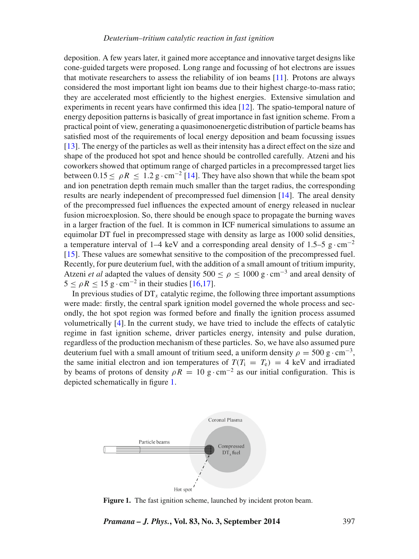deposition. A few years later, it gained more acceptance and innovative target designs like cone-guided targets were proposed. Long range and focussing of hot electrons are issues that motivate researchers to assess the reliability of ion beams [\[11\]](#page-16-10). Protons are always considered the most important light ion beams due to their highest charge-to-mass ratio; they are accelerated most efficiently to the highest energies. Extensive simulation and experiments in recent years have confirmed this idea [\[12\]](#page-16-11). The spatio-temporal nature of energy deposition patterns is basically of great importance in fast ignition scheme. From a practical point of view, generating a quasimonoenergetic distribution of particle beams has satisfied most of the requirements of local energy deposition and beam focussing issues [\[13\]](#page-16-12). The energy of the particles as well as their intensity has a direct effect on the size and shape of the produced hot spot and hence should be controlled carefully. Atzeni and his coworkers showed that optimum range of charged particles in a precompressed target lies between  $0.15 \le \rho R \le 1.2$  g · cm<sup>-2</sup> [\[14\]](#page-16-13). They have also shown that while the beam spot and ion penetration depth remain much smaller than the target radius, the corresponding results are nearly independent of precompressed fuel dimension [\[14\]](#page-16-13). The areal density of the precompressed fuel influences the expected amount of energy released in nuclear fusion microexplosion. So, there should be enough space to propagate the burning waves in a larger fraction of the fuel. It is common in ICF numerical simulations to assume an equimolar DT fuel in precompressed stage with density as large as 1000 solid densities, a temperature interval of 1–4 keV and a corresponding areal density of 1.5–5 g $\cdot$ cm<sup>-2</sup> [\[15\]](#page-16-14). These values are somewhat sensitive to the composition of the precompressed fuel. Recently, for pure deuterium fuel, with the addition of a small amount of tritium impurity, Atzeni *et al* adapted the values of density  $500 \le \rho \le 1000 \text{ g} \cdot \text{cm}^{-3}$  and areal density of  $5 \le \rho R \le 15$  g · cm<sup>-2</sup> in their studies [\[16,](#page-16-15)[17\]](#page-16-16).

In previous studies of  $DT_x$  catalytic regime, the following three important assumptions were made: firstly, the central spark ignition model governed the whole process and secondly, the hot spot region was formed before and finally the ignition process assumed volumetrically [\[4\]](#page-16-3). In the current study, we have tried to include the effects of catalytic regime in fast ignition scheme, driver particles energy, intensity and pulse duration, regardless of the production mechanism of these particles. So, we have also assumed pure deuterium fuel with a small amount of tritium seed, a uniform density  $\rho = 500 \text{ g} \cdot \text{cm}^{-3}$ , the same initial electron and ion temperatures of  $T(T_i = T_e) = 4$  keV and irradiated by beams of protons of density  $\rho R = 10 \text{ g} \cdot \text{cm}^{-2}$  as our initial configuration. This is depicted schematically in figure [1.](#page-2-0)

<span id="page-2-0"></span>

**Figure 1.** The fast ignition scheme, launched by incident proton beam.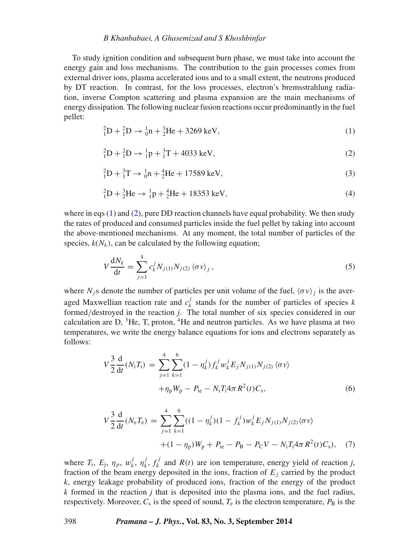#### *B Khanbabaei, A Ghasemizad and S Khoshbinfar*

To study ignition condition and subsequent burn phase, we must take into account the energy gain and loss mechanisms. The contribution to the gain processes comes from external driver ions, plasma accelerated ions and to a small extent, the neutrons produced by DT reaction. In contrast, for the loss processes, electron's bremsstrahlung radiation, inverse Compton scattering and plasma expansion are the main mechanisms of energy dissipation. The following nuclear fusion reactions occur predominantly in the fuel pellet:

<span id="page-3-0"></span>
$$
{}_{1}^{2}D + {}_{1}^{2}D \rightarrow {}_{0}^{1}n + {}_{2}^{3}He + 3269 \text{ keV}, \qquad (1)
$$

<span id="page-3-1"></span>
$$
{}_{1}^{2}D + {}_{1}^{2}D \rightarrow {}_{1}^{1}p + {}_{1}^{3}T + 4033 \text{ keV}, \qquad (2)
$$

$$
{}_{1}^{2}D + {}_{1}^{3}T \rightarrow {}_{0}^{1}n + {}_{2}^{4}He + 17589 \text{ keV}, \tag{3}
$$

$$
{}_{1}^{2}D + {}_{2}^{3}He \rightarrow {}_{1}^{1}p + {}_{2}^{4}He + 18353 \text{ keV}, \tag{4}
$$

where in eqs  $(1)$  and  $(2)$ , pure DD reaction channels have equal probability. We then study the rates of produced and consumed particles inside the fuel pellet by taking into account the above-mentioned mechanisms. At any moment, the total number of particles of the species,  $k(N_k)$ , can be calculated by the following equation;

$$
V\frac{dN_k}{dt} = \sum_{j=1}^{4} c_k^j N_{j(1)} N_{j(2)} \langle \sigma v \rangle_j , \qquad (5)
$$

where  $N_j$ s denote the number of particles per unit volume of the fuel,  $\langle \sigma v \rangle_i$  is the averaged Maxwellian reaction rate and  $c_k^j$  stands for the number of particles of species  $k$ formed*/*destroyed in the reaction *j*. The total number of six species considered in our calculation are  $D$ ,  ${}^{3}$ He, T, proton,  ${}^{4}$ He and neutron particles. As we have plasma at two temperatures, we write the energy balance equations for ions and electrons separately as follows:

$$
V\frac{3}{2}\frac{d}{dt}(N_{i}T_{i}) = \sum_{j=1}^{4}\sum_{k=1}^{6}(1-\eta_{k}^{j})f_{k}^{j}w_{k}^{j}E_{j}N_{j(1)}N_{j(2)}\langle\sigma v\rangle + \eta_{p}W_{p} - P_{ie} - N_{i}T_{i}4\pi R^{2}(t)C_{s},
$$
\n(6)

$$
V\frac{3}{2}\frac{d}{dt}(N_{e}T_{e}) = \sum_{j=1}^{4} \sum_{k=1}^{6} ((1 - \eta_{k}^{j})(1 - f_{k}^{j})w_{k}^{j}E_{j}N_{j(1)}N_{j(2)}\langle\sigma v\rangle + (1 - \eta_{p})W_{p} + P_{ie} - P_{B} - P_{C}V - N_{i}T_{i}4\pi R^{2}(t)C_{s}), \quad (7)
$$

where  $T_i$ ,  $E_j$ ,  $\eta_p$ ,  $w_k^j$ ,  $\eta_k^j$ ,  $f_k^j$  and  $R(t)$  are ion temperature, energy yield of reaction *j*, fraction of the beam energy deposited in the ions, fraction of  $E_j$  carried by the product *k*, energy leakage probability of produced ions, fraction of the energy of the product *k* formed in the reaction *j* that is deposited into the plasma ions, and the fuel radius, respectively. Moreover,  $C_s$  is the speed of sound,  $T_e$  is the electron temperature,  $P_B$  is the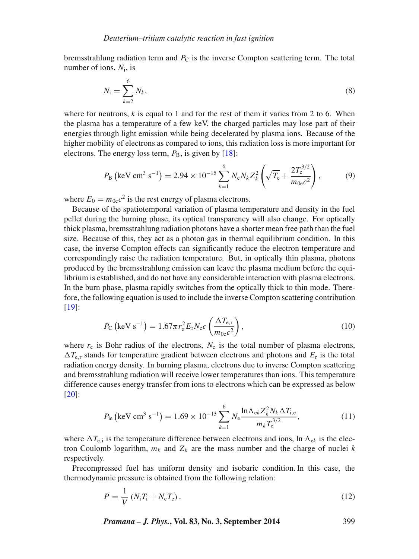bremsstrahlung radiation term and  $P_{\rm C}$  is the inverse Compton scattering term. The total number of ions, *N*i, is

$$
N_{\rm i} = \sum_{k=2}^{6} N_k,\tag{8}
$$

where for neutrons,  $k$  is equal to 1 and for the rest of them it varies from 2 to 6. When the plasma has a temperature of a few keV, the charged particles may lose part of their energies through light emission while being decelerated by plasma ions. Because of the higher mobility of electrons as compared to ions, this radiation loss is more important for electrons. The energy loss term,  $P_B$ , is given by [\[18\]](#page-16-17):

$$
P_{\rm B} \left( \text{keV cm}^3 \text{ s}^{-1} \right) = 2.94 \times 10^{-15} \sum_{k=1}^{6} N_{\rm e} N_k Z_k^2 \left( \sqrt{T_{\rm e}} + \frac{2T_{\rm e}^{3/2}}{m_{0\rm e}c^2} \right),\tag{9}
$$

where  $E_0 = m_{0e}c^2$  is the rest energy of plasma electrons.

Because of the spatiotemporal variation of plasma temperature and density in the fuel pellet during the burning phase, its optical transparency will also change. For optically thick plasma, bremsstrahlung radiation photons have a shorter mean free path than the fuel size. Because of this, they act as a photon gas in thermal equilibrium condition. In this case, the inverse Compton effects can significantly reduce the electron temperature and correspondingly raise the radiation temperature. But, in optically thin plasma, photons produced by the bremsstrahlung emission can leave the plasma medium before the equilibrium is established, and do not have any considerable interaction with plasma electrons. In the burn phase, plasma rapidly switches from the optically thick to thin mode. Therefore, the following equation is used to include the inverse Compton scattering contribution [\[19\]](#page-16-18):

$$
P_{\rm C} \left( \text{keV s}^{-1} \right) = 1.67 \pi r_{\rm e}^2 E_{\rm r} N_{\rm e} c \left( \frac{\Delta T_{\rm e,r}}{m_{\rm 0e} c^2} \right),\tag{10}
$$

where  $r_e$  is Bohr radius of the electrons,  $N_e$  is the total number of plasma electrons,  $\Delta T_{\rm e,r}$  stands for temperature gradient between electrons and photons and  $E_{\rm r}$  is the total radiation energy density. In burning plasma, electrons due to inverse Compton scattering and bremsstrahlung radiation will receive lower temperatures than ions. This temperature difference causes energy transfer from ions to electrons which can be expressed as below [\[20\]](#page-16-19):

$$
P_{\text{ie}}\left(\text{keV cm}^3 \text{ s}^{-1}\right) = 1.69 \times 10^{-13} \sum_{k=1}^{6} N_{\text{e}} \frac{\ln \Lambda_{\text{ek}} Z_k^2 N_k \Delta T_{\text{i,e}}}{m_k T_{\text{e}}^{3/2}},\tag{11}
$$

where  $\Delta T_{e,i}$  is the temperature difference between electrons and ions, ln  $\Lambda_{ek}$  is the electron Coulomb logarithm,  $m_k$  and  $Z_k$  are the mass number and the charge of nuclei  $k$ respectively.

Precompressed fuel has uniform density and isobaric condition. In this case, the thermodynamic pressure is obtained from the following relation:

$$
P = \frac{1}{V} (N_{i} T_{i} + N_{e} T_{e}).
$$
\n(12)

*Pramana – J. Phys.***, Vol. 83, No. 3, September 2014** 399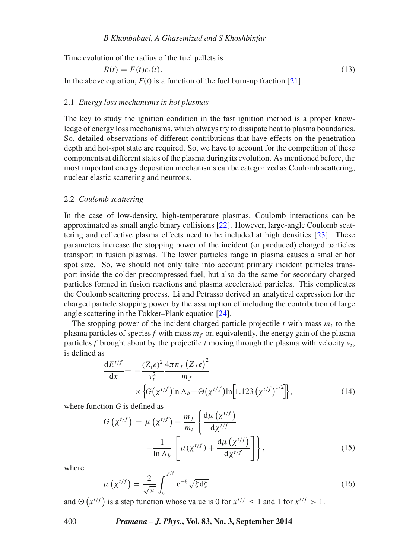Time evolution of the radius of the fuel pellets is

$$
R(t) = F(t)cs(t).
$$
\n(13)

In the above equation,  $F(t)$  is a function of the fuel burn-up fraction [\[21\]](#page-16-20).

# 2.1 *Energy loss mechanisms in hot plasmas*

The key to study the ignition condition in the fast ignition method is a proper knowledge of energy loss mechanisms, which always try to dissipate heat to plasma boundaries. So, detailed observations of different contributions that have effects on the penetration depth and hot-spot state are required. So, we have to account for the competition of these components at different states of the plasma during its evolution. As mentioned before, the most important energy deposition mechanisms can be categorized as Coulomb scattering, nuclear elastic scattering and neutrons.

#### 2.2 *Coulomb scattering*

In the case of low-density, high-temperature plasmas, Coulomb interactions can be approximated as small angle binary collisions [\[22\]](#page-16-21). However, large-angle Coulomb scattering and collective plasma effects need to be included at high densities [\[23\]](#page-16-22). These parameters increase the stopping power of the incident (or produced) charged particles transport in fusion plasmas. The lower particles range in plasma causes a smaller hot spot size. So, we should not only take into account primary incident particles transport inside the colder precompressed fuel, but also do the same for secondary charged particles formed in fusion reactions and plasma accelerated particles. This complicates the Coulomb scattering process. Li and Petrasso derived an analytical expression for the charged particle stopping power by the assumption of including the contribution of large angle scattering in the Fokker–Plank equation [\[24\]](#page-16-23).

The stopping power of the incident charged particle projectile  $t$  with mass  $m_t$  to the plasma particles of species  $f$  with mass  $m_f$  or, equivalently, the energy gain of the plasma particles f brought about by the projectile t moving through the plasma with velocity  $v_t$ , is defined as

<span id="page-5-0"></span>
$$
\frac{dE^{t/f}}{dx} = -\frac{(Z_t e)^2}{v_t^2} \frac{4\pi n_f (Z_f e)^2}{m_f} \times \Big\{ G(\chi^{t/f}) \ln \Lambda_b + \Theta(\chi^{t/f}) \ln [1.123 (\chi^{t/f})^{1/2}]\Big\},
$$
\n(14)

where function *G* is defined as

$$
G\left(\chi^{t/f}\right) = \mu\left(\chi^{t/f}\right) - \frac{m_f}{m_t} \left\{ \frac{d\mu\left(\chi^{t/f}\right)}{d\chi^{t/f}} - \frac{1}{\ln \Lambda_b} \left[\mu(\chi^{t/f}) + \frac{d\mu\left(\chi^{t/f}\right)}{d\chi^{t/f}}\right] \right\},\tag{15}
$$

where

$$
\mu\left(\chi^{t/f}\right) = \frac{2}{\sqrt{\pi}} \int_0^{x^{t/f}} e^{-\xi} \sqrt{\xi d\xi}
$$
\n(16)

and  $\Theta(x^{t/f})$  is a step function whose value is 0 for  $x^{t/f} \le 1$  and 1 for  $x^{t/f} > 1$ .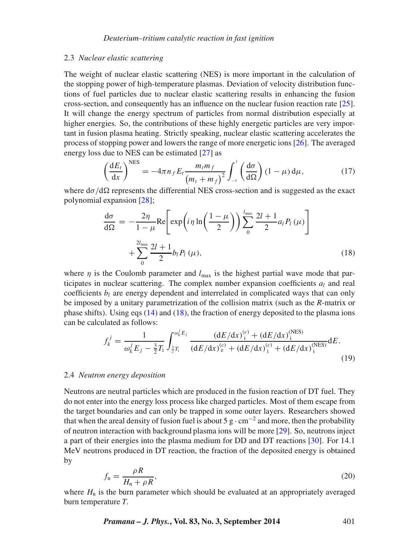#### 2.3 *Nuclear elastic scattering*

The weight of nuclear elastic scattering (NES) is more important in the calculation of the stopping power of high-temperature plasmas. Deviation of velocity distribution functions of fuel particles due to nuclear elastic scattering results in enhancing the fusion cross-section, and consequently has an influence on the nuclear fusion reaction rate [\[25\]](#page-16-24). It will change the energy spectrum of particles from normal distribution especially at higher energies. So, the contributions of these highly energetic particles are very important in fusion plasma heating. Strictly speaking, nuclear elastic scattering accelerates the process of stopping power and lowers the range of more energetic ions [\[26\]](#page-16-25). The averaged energy loss due to NES can be estimated [\[27\]](#page-16-26) as

$$
\left(\frac{\mathrm{d}E_t}{\mathrm{d}x}\right)^{\text{NES}} = -4\pi n_f E_t \frac{m_t m_f}{\left(m_t + m_f\right)^2} \int_{-1}^1 \left(\frac{\mathrm{d}\sigma}{\mathrm{d}\Omega}\right) (1 - \mu) \,\mathrm{d}\mu,\tag{17}
$$

where  $d\sigma/d\Omega$  represents the differential NES cross-section and is suggested as the exact polynomial expansion [\[28\]](#page-16-27);

<span id="page-6-0"></span>
$$
\frac{d\sigma}{d\Omega} = -\frac{2\eta}{1-\mu} \text{Re}\left[\exp\left(i\eta \ln\left(\frac{1-\mu}{2}\right)\right) \sum_{0}^{l_{\text{max}}} \frac{2l+1}{2} a_l P_l(\mu)\right] + \sum_{0}^{2l_{\text{max}}} \frac{2l+1}{2} b_l P_l(\mu),\tag{18}
$$

where  $\eta$  is the Coulomb parameter and  $l_{\text{max}}$  is the highest partial wave mode that participates in nuclear scattering. The complex number expansion coefficients  $a_l$  and real coefficients  $b_l$  are energy dependent and interrelated in complicated ways that can only be imposed by a unitary parametrization of the collision matrix (such as the *R*-matrix or phase shifts). Using eqs  $(14)$  and  $(18)$ , the fraction of energy deposited to the plasma ions can be calculated as follows:

$$
f_k^j = \frac{1}{\omega_k^j E_j - \frac{3}{2}T_i} \int_{\frac{3}{2}T_i}^{\omega_k^j E_j} \frac{(dE/dx)_i^{(c)} + (dE/dx)_i^{(NES)}}{(dE/dx)_e^{(c)} + (dE/dx)_i^{(c)} + (dE/dx)_i^{(NES)}} dE.
$$
\n(19)

## 2.4 *Neutron energy deposition*

Neutrons are neutral particles which are produced in the fusion reaction of DT fuel. They do not enter into the energy loss process like charged particles. Most of them escape from the target boundaries and can only be trapped in some outer layers. Researchers showed that when the areal density of fusion fuel is about 5 g  $\cdot$  cm<sup>-2</sup> and more, then the probability of neutron interaction with background plasma ions will be more [\[29\]](#page-16-28). So, neutrons inject a part of their energies into the plasma medium for DD and DT reactions [\[30\]](#page-16-29). For 14.1 MeV neutrons produced in DT reaction, the fraction of the deposited energy is obtained by

$$
f_{\rm n} = \frac{\rho R}{H_{\rm n} + \rho R},\tag{20}
$$

where  $H_n$  is the burn parameter which should be evaluated at an appropriately averaged burn temperature *T*.

*Pramana – J. Phys.***, Vol. 83, No. 3, September 2014** 401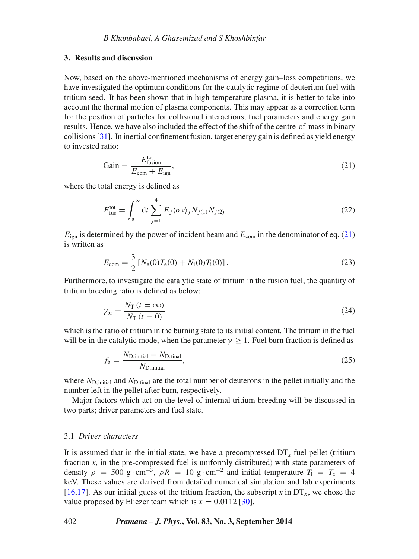## **3. Results and discussion**

Now, based on the above-mentioned mechanisms of energy gain–loss competitions, we have investigated the optimum conditions for the catalytic regime of deuterium fuel with tritium seed. It has been shown that in high-temperature plasma, it is better to take into account the thermal motion of plasma components. This may appear as a correction term for the position of particles for collisional interactions, fuel parameters and energy gain results. Hence, we have also included the effect of the shift of the centre-of-mass in binary collisions [\[31\]](#page-16-30). In inertial confinement fusion, target energy gain is defined as yield energy to invested ratio:

<span id="page-7-0"></span>
$$
Gain = \frac{E_{fusion}^{\text{tot}}}{E_{com} + E_{ign}},\tag{21}
$$

where the total energy is defined as

$$
E_{\text{fus}}^{\text{tot}} = \int_0^\infty dt \sum_{j=1}^4 E_j \langle \sigma v \rangle_j N_{j(1)} N_{j(2)}.
$$
 (22)

*E*<sub>ign</sub> is determined by the power of incident beam and  $E_{\text{com}}$  in the denominator of eq. [\(21\)](#page-7-0) is written as

$$
E_{\text{com}} = \frac{3}{2} \left[ N_{\text{e}}(0) T_{\text{e}}(0) + N_{\text{i}}(0) T_{\text{i}}(0) \right]. \tag{23}
$$

Furthermore, to investigate the catalytic state of tritium in the fusion fuel, the quantity of tritium breeding ratio is defined as below:

$$
\gamma_{\rm br} = \frac{N_{\rm T} (t = \infty)}{N_{\rm T} (t = 0)}
$$
\n(24)

which is the ratio of tritium in the burning state to its initial content. The tritium in the fuel will be in the catalytic mode, when the parameter  $\gamma > 1$ . Fuel burn fraction is defined as

$$
f_{\rm b} = \frac{N_{\rm D, initial} - N_{\rm D, final}}{N_{\rm D, initial}},
$$
\n(25)

where  $N_{\text{D, initial}}$  and  $N_{\text{D, final}}$  are the total number of deuterons in the pellet initially and the number left in the pellet after burn, respectively.

Major factors which act on the level of internal tritium breeding will be discussed in two parts; driver parameters and fuel state.

#### 3.1 *Driver characters*

It is assumed that in the initial state, we have a precompressed  $DT_x$  fuel pellet (tritium fraction *x*, in the pre-compressed fuel is uniformly distributed) with state parameters of density  $\rho = 500 \text{ g} \cdot \text{cm}^{-3}$ ,  $\rho R = 10 \text{ g} \cdot \text{cm}^{-2}$  and initial temperature  $T_1 = T_e = 4$ keV. These values are derived from detailed numerical simulation and lab experiments [\[16](#page-16-15)[,17\]](#page-16-16). As our initial guess of the tritium fraction, the subscript *x* in  $DT<sub>x</sub>$ , we chose the value proposed by Eliezer team which is  $x = 0.0112$  [\[30\]](#page-16-29).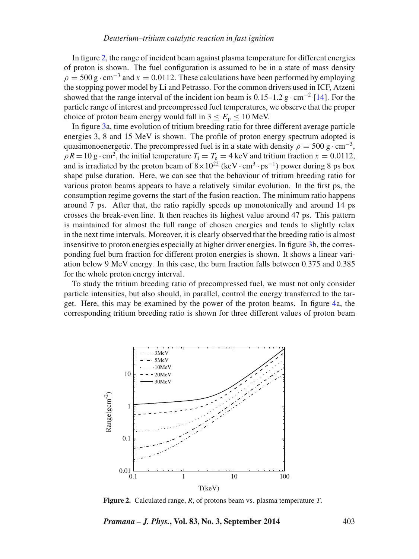In figure [2,](#page-8-0) the range of incident beam against plasma temperature for different energies of proton is shown. The fuel configuration is assumed to be in a state of mass density  $\rho = 500 \text{ g} \cdot \text{cm}^{-3}$  and  $x = 0.0112$ . These calculations have been performed by employing the stopping power model by Li and Petrasso. For the common drivers used in ICF, Atzeni showed that the range interval of the incident ion beam is  $0.15-1.2$  g $\cdot$ cm<sup>-2</sup> [\[14\]](#page-16-13). For the particle range of interest and precompressed fuel temperatures, we observe that the proper choice of proton beam energy would fall in  $3 \le E_p \le 10$  MeV.

In figure [3a](#page-9-0), time evolution of tritium breeding ratio for three different average particle energies 3, 8 and 15 MeV is shown. The profile of proton energy spectrum adopted is quasimonoenergetic. The precompressed fuel is in a state with density  $\rho = 500 \text{ g} \cdot \text{cm}^{-3}$ ,  $\rho R = 10 \text{ g} \cdot \text{cm}^2$ , the initial temperature  $T_i = T_e = 4 \text{ keV}$  and tritium fraction  $x = 0.0112$ , and is irradiated by the proton beam of  $8 \times 10^{22}$  (keV · cm<sup>3</sup> · ps<sup>-1</sup>) power during 8 ps box shape pulse duration. Here, we can see that the behaviour of tritium breeding ratio for various proton beams appears to have a relatively similar evolution. In the first ps, the consumption regime governs the start of the fusion reaction. The minimum ratio happens around 7 ps. After that, the ratio rapidly speeds up monotonically and around 14 ps crosses the break-even line. It then reaches its highest value around 47 ps. This pattern is maintained for almost the full range of chosen energies and tends to slightly relax in the next time intervals. Moreover, it is clearly observed that the breeding ratio is almost insensitive to proton energies especially at higher driver energies. In figure [3b](#page-9-0), the corresponding fuel burn fraction for different proton energies is shown. It shows a linear variation below 9 MeV energy. In this case, the burn fraction falls between 0.375 and 0.385 for the whole proton energy interval.

To study the tritium breeding ratio of precompressed fuel, we must not only consider particle intensities, but also should, in parallel, control the energy transferred to the target. Here, this may be examined by the power of the proton beams. In figure [4a](#page-10-0), the corresponding tritium breeding ratio is shown for three different values of proton beam

<span id="page-8-0"></span>

**Figure 2.** Calculated range, *R*, of protons beam vs. plasma temperature *T*.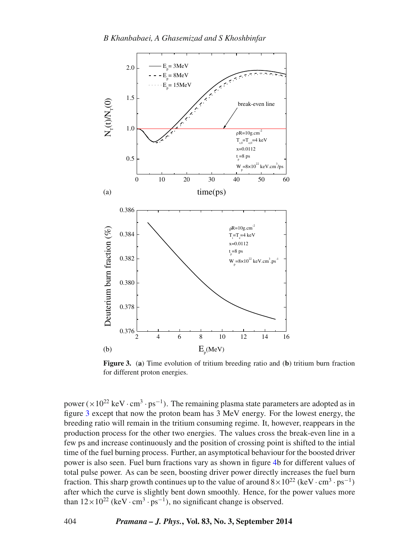<span id="page-9-0"></span>

**Figure 3.** (**a**) Time evolution of tritium breeding ratio and (**b**) tritium burn fraction for different proton energies.

power ( $\times 10^{22}$  keV · cm<sup>3</sup> · ps<sup>-1</sup>). The remaining plasma state parameters are adopted as in figure [3](#page-9-0) except that now the proton beam has 3 MeV energy. For the lowest energy, the breeding ratio will remain in the tritium consuming regime. It, however, reappears in the production process for the other two energies. The values cross the break-even line in a few ps and increase continuously and the position of crossing point is shifted to the intial time of the fuel burning process. Further, an asymptotical behaviour for the boosted driver power is also seen. Fuel burn fractions vary as shown in figure [4b](#page-10-0) for different values of total pulse power. As can be seen, boosting driver power directly increases the fuel burn fraction. This sharp growth continues up to the value of around  $8 \times 10^{22}$  (keV · cm<sup>3</sup> · ps<sup>-1</sup>) after which the curve is slightly bent down smoothly. Hence, for the power values more than  $12\times10^{22}$  (keV · cm<sup>3</sup> · ps<sup>-1</sup>), no significant change is observed.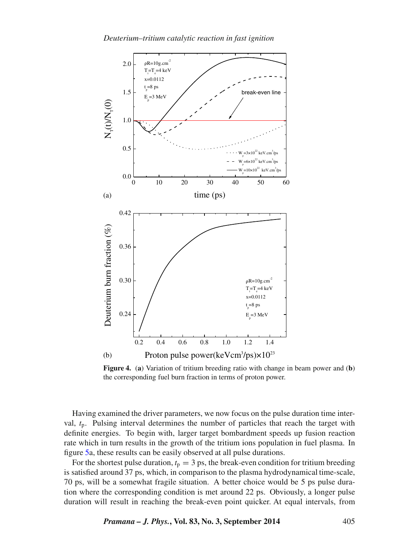<span id="page-10-0"></span>

**Figure 4.** (**a**) Variation of tritium breeding ratio with change in beam power and (**b**) the corresponding fuel burn fraction in terms of proton power.

Having examined the driver parameters, we now focus on the pulse duration time interval, *t*p. Pulsing interval determines the number of particles that reach the target with definite energies. To begin with, larger target bombardment speeds up fusion reaction rate which in turn results in the growth of the tritium ions population in fuel plasma. In figure [5a](#page-11-0), these results can be easily observed at all pulse durations.

For the shortest pulse duration,  $t_p = 3$  ps, the break-even condition for tritium breeding is satisfied around 37 ps, which, in comparison to the plasma hydrodynamical time-scale, 70 ps, will be a somewhat fragile situation. A better choice would be 5 ps pulse duration where the corresponding condition is met around 22 ps. Obviously, a longer pulse duration will result in reaching the break-even point quicker. At equal intervals, from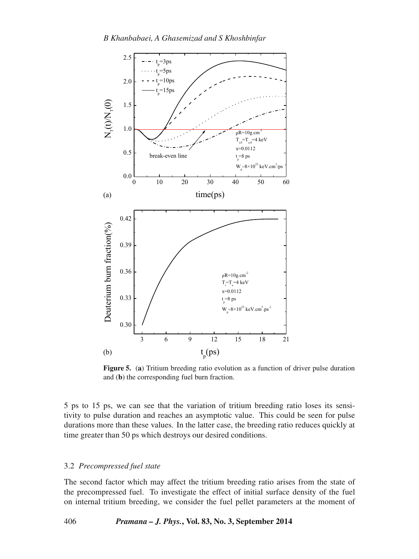<span id="page-11-0"></span>

**Figure 5.** (a) Tritium breeding ratio evolution as a function of driver pulse duration and (**b**) the corresponding fuel burn fraction.

5 ps to 15 ps, we can see that the variation of tritium breeding ratio loses its sensitivity to pulse duration and reaches an asymptotic value. This could be seen for pulse durations more than these values. In the latter case, the breeding ratio reduces quickly at time greater than 50 ps which destroys our desired conditions.

# 3.2 *Precompressed fuel state*

The second factor which may affect the tritium breeding ratio arises from the state of the precompressed fuel. To investigate the effect of initial surface density of the fuel on internal tritium breeding, we consider the fuel pellet parameters at the moment of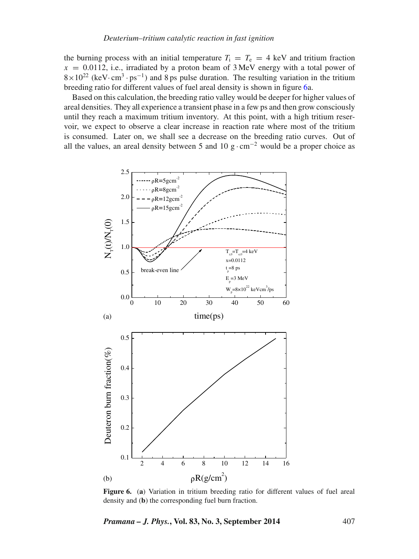the burning process with an initial temperature  $T_i = T_e = 4$  keV and tritium fraction  $x = 0.0112$ , i.e., irradiated by a proton beam of  $3 \text{ MeV}$  energy with a total power of  $8 \times 10^{22}$  (keV· cm<sup>3</sup>· ps<sup>-1</sup>) and 8 ps pulse duration. The resulting variation in the tritium breeding ratio for different values of fuel areal density is shown in figure [6a](#page-12-0).

Based on this calculation, the breeding ratio valley would be deeper for higher values of areal densities. They all experience a transient phase in a few ps and then grow consciously until they reach a maximum tritium inventory. At this point, with a high tritium reservoir, we expect to observe a clear increase in reaction rate where most of the tritium is consumed. Later on, we shall see a decrease on the breeding ratio curves. Out of all the values, an areal density between 5 and 10 g $\cdot$  cm<sup>-2</sup> would be a proper choice as

<span id="page-12-0"></span>

**Figure 6.** (**a**) Variation in tritium breeding ratio for different values of fuel areal density and (**b**) the corresponding fuel burn fraction.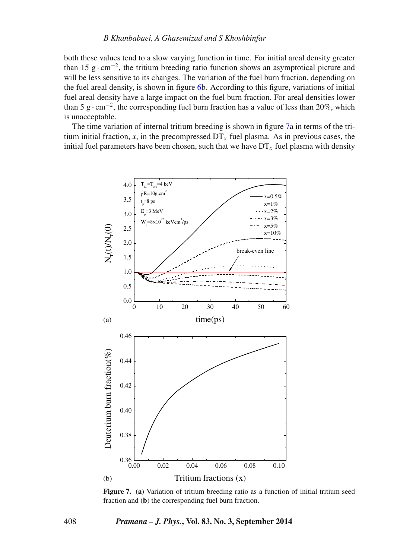both these values tend to a slow varying function in time. For initial areal density greater than 15 g⋅cm<sup>-2</sup>, the tritium breeding ratio function shows an asymptotical picture and will be less sensitive to its changes. The variation of the fuel burn fraction, depending on the fuel areal density, is shown in figure [6b](#page-12-0). According to this figure, variations of initial fuel areal density have a large impact on the fuel burn fraction. For areal densities lower than 5 g · cm<sup>-2</sup>, the corresponding fuel burn fraction has a value of less than 20%, which is unacceptable.

The time variation of internal tritium breeding is shown in figure [7a](#page-13-0) in terms of the tritium initial fraction, *x*, in the precompressed  $DT<sub>x</sub>$  fuel plasma. As in previous cases, the initial fuel parameters have been chosen, such that we have  $DT_x$  fuel plasma with density

<span id="page-13-0"></span>

**Figure 7.** (**a**) Variation of tritium breeding ratio as a function of initial tritium seed fraction and (**b**) the corresponding fuel burn fraction.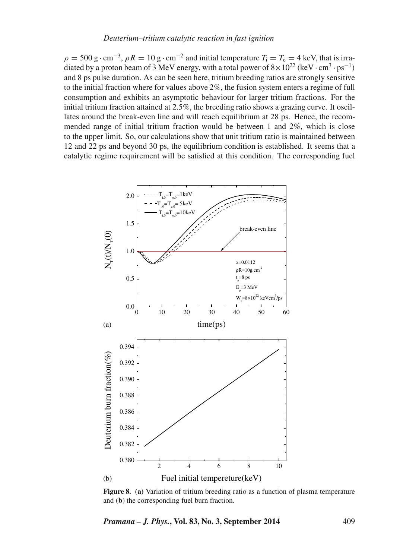$\rho = 500 \text{ g} \cdot \text{cm}^{-3}$ ,  $\rho R = 10 \text{ g} \cdot \text{cm}^{-2}$  and initial temperature  $T_i = T_e = 4 \text{ keV}$ , that is irradiated by a proton beam of 3 MeV energy, with a total power of  $8 \times 10^{22}$  (keV · cm<sup>3</sup> · ps<sup>-1</sup>) and 8 ps pulse duration. As can be seen here, tritium breeding ratios are strongly sensitive to the initial fraction where for values above  $2\%$ , the fusion system enters a regime of full consumption and exhibits an asymptotic behaviour for larger tritium fractions. For the initial tritium fraction attained at 2.5%, the breeding ratio shows a grazing curve. It oscillates around the break-even line and will reach equilibrium at 28 ps. Hence, the recommended range of initial tritium fraction would be between 1 and 2%, which is close to the upper limit. So, our calculations show that unit tritium ratio is maintained between 12 and 22 ps and beyond 30 ps, the equilibrium condition is established. It seems that a catalytic regime requirement will be satisfied at this condition. The corresponding fuel

<span id="page-14-0"></span>

**Figure 8.** (**a)** Variation of tritium breeding ratio as a function of plasma temperature and (**b**) the corresponding fuel burn fraction.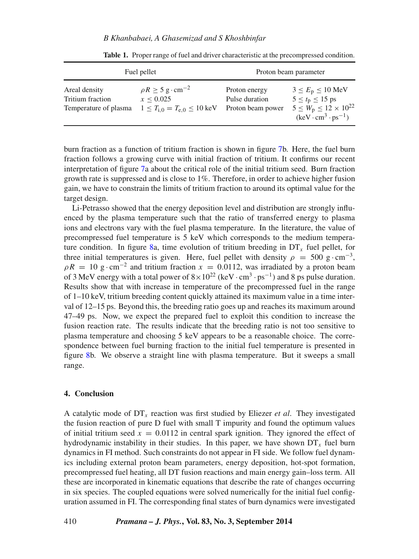## *B Khanbabaei, A Ghasemizad and S Khoshbinfar*

<span id="page-15-0"></span>

| Fuel pellet                                                |                                                                                                                 | Proton beam parameter                                |                                                                                                                                  |
|------------------------------------------------------------|-----------------------------------------------------------------------------------------------------------------|------------------------------------------------------|----------------------------------------------------------------------------------------------------------------------------------|
| Areal density<br>Tritium fraction<br>Temperature of plasma | $\rho R \ge 5 \text{ g} \cdot \text{cm}^{-2}$<br>x < 0.025<br>$1 < T_{\rm i.0} = T_{\rm e.0} < 10 \,\text{keV}$ | Proton energy<br>Pulse duration<br>Proton beam power | $3 \le E_p \le 10$ MeV<br>$5 \le t_p \le 15$ ps<br>$5 \leq W_{\rm p} \leq 12 \times 10^{22}$<br>$(keV \cdot cm^3 \cdot ps^{-1})$ |

Table 1. Proper range of fuel and driver characteristic at the precompressed condition.

burn fraction as a function of tritium fraction is shown in figure [7b](#page-13-0). Here, the fuel burn fraction follows a growing curve with initial fraction of tritium. It confirms our recent interpretation of figure [7a](#page-13-0) about the critical role of the initial tritium seed. Burn fraction growth rate is suppressed and is close to 1%. Therefore, in order to achieve higher fusion gain, we have to constrain the limits of tritium fraction to around its optimal value for the target design.

Li-Petrasso showed that the energy deposition level and distribution are strongly influenced by the plasma temperature such that the ratio of transferred energy to plasma ions and electrons vary with the fuel plasma temperature. In the literature, the value of precompressed fuel temperature is 5 keV which corresponds to the medium tempera-ture condition. In figure [8a](#page-14-0), time evolution of tritium breeding in  $DT<sub>r</sub>$  fuel pellet, for three initial temperatures is given. Here, fuel pellet with density  $\rho = 500 \text{ g} \cdot \text{cm}^{-3}$ ,  $\rho R = 10 \text{ g} \cdot \text{cm}^{-2}$  and tritium fraction  $x = 0.0112$ , was irradiated by a proton beam of 3 MeV energy with a total power of  $8 \times 10^{22}$  (keV · cm<sup>3</sup> · ps<sup>-1</sup>) and 8 ps pulse duration. Results show that with increase in temperature of the precompressed fuel in the range of 1–10 keV, tritium breeding content quickly attained its maximum value in a time interval of 12–15 ps. Beyond this, the breeding ratio goes up and reaches its maximum around 47–49 ps. Now, we expect the prepared fuel to exploit this condition to increase the fusion reaction rate. The results indicate that the breeding ratio is not too sensitive to plasma temperature and choosing 5 keV appears to be a reasonable choice. The correspondence between fuel burning fraction to the initial fuel temperature is presented in figure [8b](#page-14-0). We observe a straight line with plasma temperature. But it sweeps a small range.

# **4. Conclusion**

A catalytic mode of DT*<sup>x</sup>* reaction was first studied by Eliezer *et al*. They investigated the fusion reaction of pure D fuel with small T impurity and found the optimum values of initial tritium seed  $x = 0.0112$  in central spark ignition. They ignored the effect of hydrodynamic instability in their studies. In this paper, we have shown  $DT_x$  fuel burn dynamics in FI method. Such constraints do not appear in FI side. We follow fuel dynamics including external proton beam parameters, energy deposition, hot-spot formation, precompressed fuel heating, all DT fusion reactions and main energy gain–loss term. All these are incorporated in kinematic equations that describe the rate of changes occurring in six species. The coupled equations were solved numerically for the initial fuel configuration assumed in FI. The corresponding final states of burn dynamics were investigated